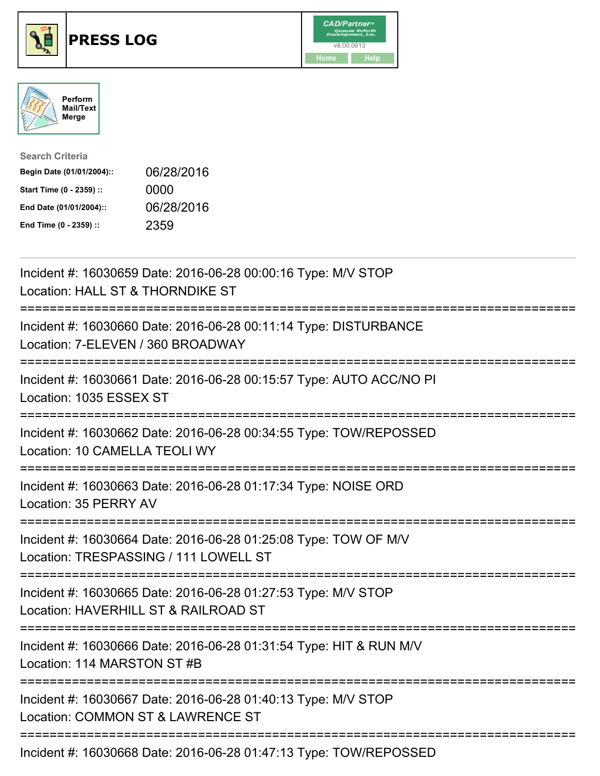





| <b>Search Criteria</b>    |            |
|---------------------------|------------|
| Begin Date (01/01/2004):: | 06/28/2016 |
| Start Time (0 - 2359) ::  | 0000       |
| End Date (01/01/2004)::   | 06/28/2016 |
| End Time (0 - 2359) ::    | 2359       |

| Incident #: 16030659 Date: 2016-06-28 00:00:16 Type: M/V STOP<br>Location: HALL ST & THORNDIKE ST                                        |
|------------------------------------------------------------------------------------------------------------------------------------------|
| Incident #: 16030660 Date: 2016-06-28 00:11:14 Type: DISTURBANCE<br>Location: 7-ELEVEN / 360 BROADWAY                                    |
| Incident #: 16030661 Date: 2016-06-28 00:15:57 Type: AUTO ACC/NO PI<br>Location: 1035 ESSEX ST                                           |
| Incident #: 16030662 Date: 2016-06-28 00:34:55 Type: TOW/REPOSSED<br>Location: 10 CAMELLA TEOLI WY                                       |
| Incident #: 16030663 Date: 2016-06-28 01:17:34 Type: NOISE ORD<br>Location: 35 PERRY AV<br>:======================                       |
| Incident #: 16030664 Date: 2016-06-28 01:25:08 Type: TOW OF M/V<br>Location: TRESPASSING / 111 LOWELL ST<br>:=========================== |
| Incident #: 16030665 Date: 2016-06-28 01:27:53 Type: M/V STOP<br>Location: HAVERHILL ST & RAILROAD ST<br>=============================== |
| Incident #: 16030666 Date: 2016-06-28 01:31:54 Type: HIT & RUN M/V<br>Location: 114 MARSTON ST #B                                        |
| Incident #: 16030667 Date: 2016-06-28 01:40:13 Type: M/V STOP<br>Location: COMMON ST & LAWRENCE ST                                       |
| Incident #: 16030668 Date: 2016-06-28 01:47:13 Type: TOW/REPOSSED                                                                        |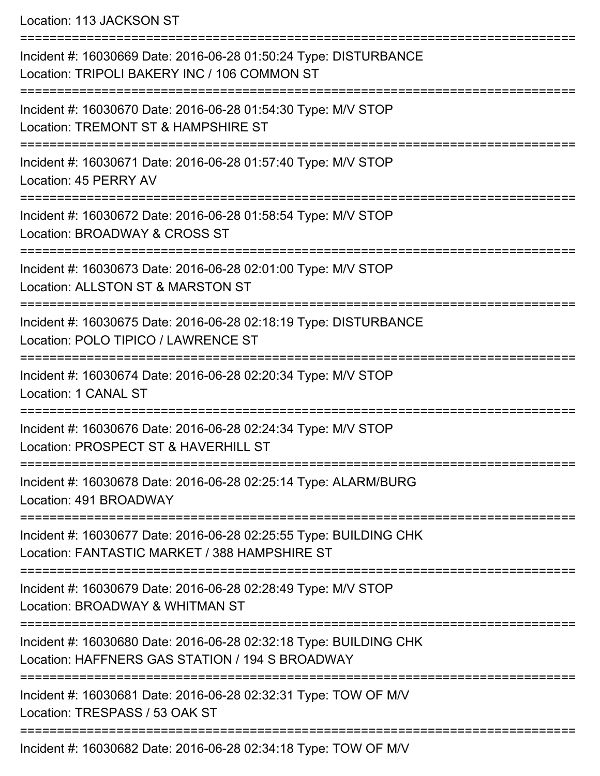Location: 113 JACKSON ST

| Incident #: 16030669 Date: 2016-06-28 01:50:24 Type: DISTURBANCE<br>Location: TRIPOLI BAKERY INC / 106 COMMON ST     |
|----------------------------------------------------------------------------------------------------------------------|
| Incident #: 16030670 Date: 2016-06-28 01:54:30 Type: M/V STOP<br>Location: TREMONT ST & HAMPSHIRE ST                 |
| Incident #: 16030671 Date: 2016-06-28 01:57:40 Type: M/V STOP<br>Location: 45 PERRY AV                               |
| Incident #: 16030672 Date: 2016-06-28 01:58:54 Type: M/V STOP<br>Location: BROADWAY & CROSS ST                       |
| Incident #: 16030673 Date: 2016-06-28 02:01:00 Type: M/V STOP<br>Location: ALLSTON ST & MARSTON ST                   |
| Incident #: 16030675 Date: 2016-06-28 02:18:19 Type: DISTURBANCE<br>Location: POLO TIPICO / LAWRENCE ST              |
| Incident #: 16030674 Date: 2016-06-28 02:20:34 Type: M/V STOP<br>Location: 1 CANAL ST                                |
| Incident #: 16030676 Date: 2016-06-28 02:24:34 Type: M/V STOP<br>Location: PROSPECT ST & HAVERHILL ST                |
| Incident #: 16030678 Date: 2016-06-28 02:25:14 Type: ALARM/BURG<br>Location: 491 BROADWAY                            |
| Incident #: 16030677 Date: 2016-06-28 02:25:55 Type: BUILDING CHK<br>Location: FANTASTIC MARKET / 388 HAMPSHIRE ST   |
| Incident #: 16030679 Date: 2016-06-28 02:28:49 Type: M/V STOP<br>Location: BROADWAY & WHITMAN ST                     |
| Incident #: 16030680 Date: 2016-06-28 02:32:18 Type: BUILDING CHK<br>Location: HAFFNERS GAS STATION / 194 S BROADWAY |
| Incident #: 16030681 Date: 2016-06-28 02:32:31 Type: TOW OF M/V<br>Location: TRESPASS / 53 OAK ST                    |
| ===================<br>Incident #: 16030682 Date: 2016-06-28 02:34:18 Type: TOW OF M/V                               |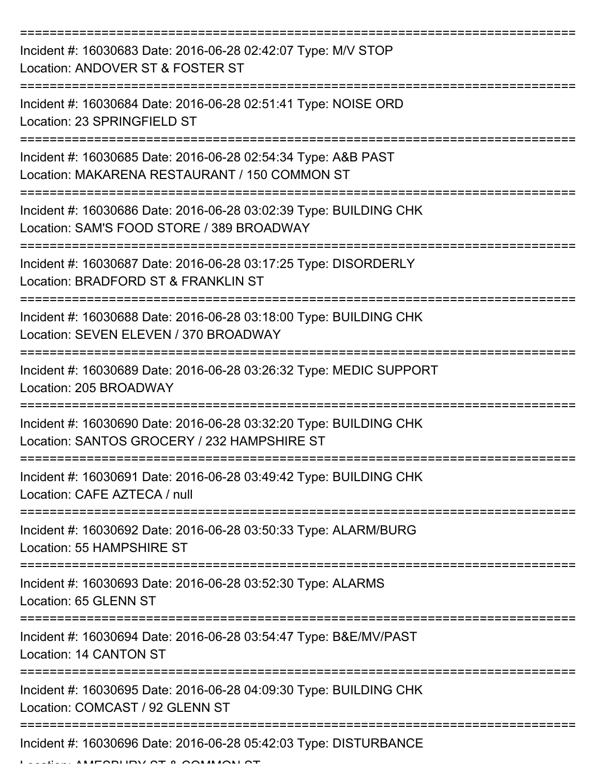| Incident #: 16030683 Date: 2016-06-28 02:42:07 Type: M/V STOP<br>Location: ANDOVER ST & FOSTER ST                   |
|---------------------------------------------------------------------------------------------------------------------|
| Incident #: 16030684 Date: 2016-06-28 02:51:41 Type: NOISE ORD<br>Location: 23 SPRINGFIELD ST                       |
| Incident #: 16030685 Date: 2016-06-28 02:54:34 Type: A&B PAST<br>Location: MAKARENA RESTAURANT / 150 COMMON ST      |
| Incident #: 16030686 Date: 2016-06-28 03:02:39 Type: BUILDING CHK<br>Location: SAM'S FOOD STORE / 389 BROADWAY      |
| Incident #: 16030687 Date: 2016-06-28 03:17:25 Type: DISORDERLY<br>Location: BRADFORD ST & FRANKLIN ST              |
| Incident #: 16030688 Date: 2016-06-28 03:18:00 Type: BUILDING CHK<br>Location: SEVEN ELEVEN / 370 BROADWAY          |
| Incident #: 16030689 Date: 2016-06-28 03:26:32 Type: MEDIC SUPPORT<br>Location: 205 BROADWAY                        |
| Incident #: 16030690 Date: 2016-06-28 03:32:20 Type: BUILDING CHK<br>Location: SANTOS GROCERY / 232 HAMPSHIRE ST    |
| Incident #: 16030691 Date: 2016-06-28 03:49:42 Type: BUILDING CHK<br>Location: CAFE AZTECA / null                   |
| Incident #: 16030692 Date: 2016-06-28 03:50:33 Type: ALARM/BURG<br>Location: 55 HAMPSHIRE ST                        |
| Incident #: 16030693 Date: 2016-06-28 03:52:30 Type: ALARMS<br>Location: 65 GLENN ST                                |
| =====================<br>Incident #: 16030694 Date: 2016-06-28 03:54:47 Type: B&E/MV/PAST<br>Location: 14 CANTON ST |
| Incident #: 16030695 Date: 2016-06-28 04:09:30 Type: BUILDING CHK<br>Location: COMCAST / 92 GLENN ST                |
| ---------------------------<br>Incident #: 16030696 Date: 2016-06-28 05:42:03 Type: DISTURBANCE                     |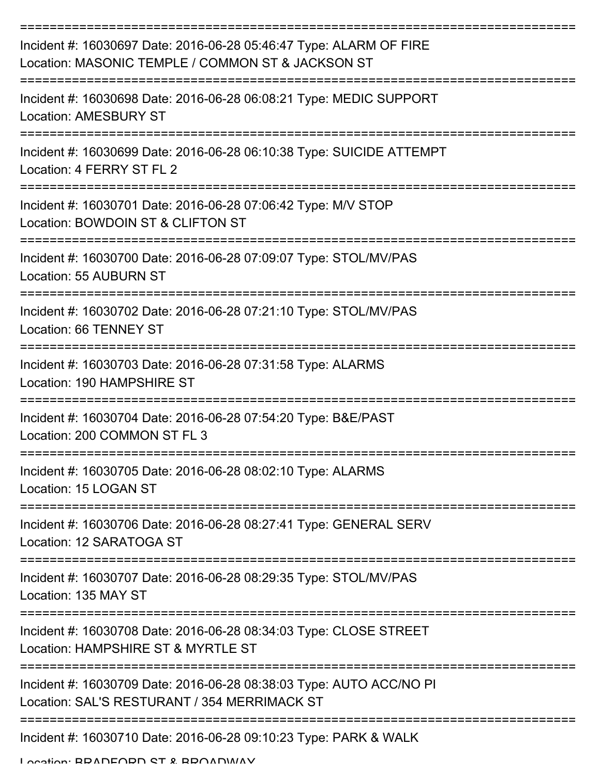| Incident #: 16030697 Date: 2016-06-28 05:46:47 Type: ALARM OF FIRE<br>Location: MASONIC TEMPLE / COMMON ST & JACKSON ST |
|-------------------------------------------------------------------------------------------------------------------------|
| Incident #: 16030698 Date: 2016-06-28 06:08:21 Type: MEDIC SUPPORT<br><b>Location: AMESBURY ST</b>                      |
| Incident #: 16030699 Date: 2016-06-28 06:10:38 Type: SUICIDE ATTEMPT<br>Location: 4 FERRY ST FL 2                       |
| Incident #: 16030701 Date: 2016-06-28 07:06:42 Type: M/V STOP<br>Location: BOWDOIN ST & CLIFTON ST                      |
| Incident #: 16030700 Date: 2016-06-28 07:09:07 Type: STOL/MV/PAS<br>Location: 55 AUBURN ST                              |
| Incident #: 16030702 Date: 2016-06-28 07:21:10 Type: STOL/MV/PAS<br>Location: 66 TENNEY ST                              |
| Incident #: 16030703 Date: 2016-06-28 07:31:58 Type: ALARMS<br>Location: 190 HAMPSHIRE ST                               |
| Incident #: 16030704 Date: 2016-06-28 07:54:20 Type: B&E/PAST<br>Location: 200 COMMON ST FL 3                           |
| Incident #: 16030705 Date: 2016-06-28 08:02:10 Type: ALARMS<br>Location: 15 LOGAN ST                                    |
| Incident #: 16030706 Date: 2016-06-28 08:27:41 Type: GENERAL SERV<br>Location: 12 SARATOGA ST                           |
| Incident #: 16030707 Date: 2016-06-28 08:29:35 Type: STOL/MV/PAS<br>Location: 135 MAY ST                                |
| Incident #: 16030708 Date: 2016-06-28 08:34:03 Type: CLOSE STREET<br>Location: HAMPSHIRE ST & MYRTLE ST                 |
| Incident #: 16030709 Date: 2016-06-28 08:38:03 Type: AUTO ACC/NO PI<br>Location: SAL'S RESTURANT / 354 MERRIMACK ST     |
| Incident #: 16030710 Date: 2016-06-28 09:10:23 Type: PARK & WALK                                                        |

Location: BDANEODN ST & BDOADWAY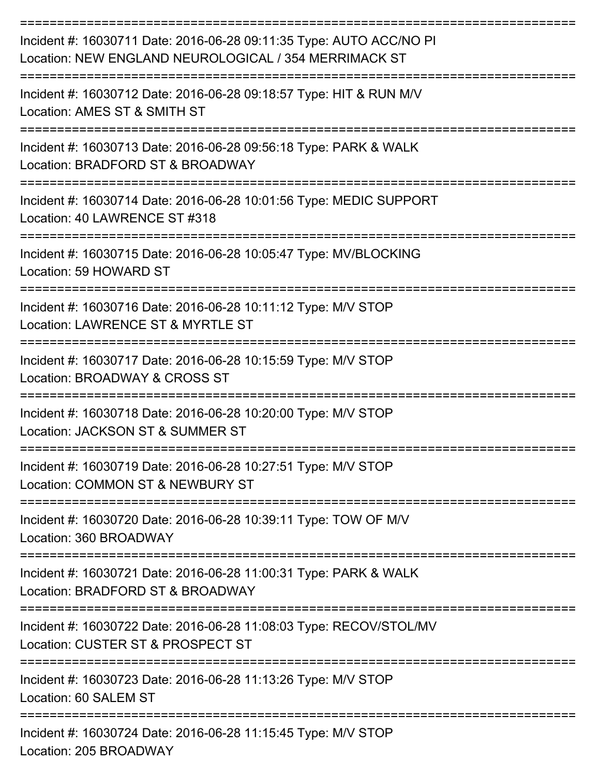| Incident #: 16030711 Date: 2016-06-28 09:11:35 Type: AUTO ACC/NO PI<br>Location: NEW ENGLAND NEUROLOGICAL / 354 MERRIMACK ST |
|------------------------------------------------------------------------------------------------------------------------------|
| Incident #: 16030712 Date: 2016-06-28 09:18:57 Type: HIT & RUN M/V<br>Location: AMES ST & SMITH ST                           |
| Incident #: 16030713 Date: 2016-06-28 09:56:18 Type: PARK & WALK<br>Location: BRADFORD ST & BROADWAY                         |
| Incident #: 16030714 Date: 2016-06-28 10:01:56 Type: MEDIC SUPPORT<br>Location: 40 LAWRENCE ST #318                          |
| Incident #: 16030715 Date: 2016-06-28 10:05:47 Type: MV/BLOCKING<br>Location: 59 HOWARD ST                                   |
| Incident #: 16030716 Date: 2016-06-28 10:11:12 Type: M/V STOP<br>Location: LAWRENCE ST & MYRTLE ST                           |
| Incident #: 16030717 Date: 2016-06-28 10:15:59 Type: M/V STOP<br>Location: BROADWAY & CROSS ST                               |
| Incident #: 16030718 Date: 2016-06-28 10:20:00 Type: M/V STOP<br>Location: JACKSON ST & SUMMER ST                            |
| Incident #: 16030719 Date: 2016-06-28 10:27:51 Type: M/V STOP<br>Location: COMMON ST & NEWBURY ST                            |
| Incident #: 16030720 Date: 2016-06-28 10:39:11 Type: TOW OF M/V<br>Location: 360 BROADWAY                                    |
| Incident #: 16030721 Date: 2016-06-28 11:00:31 Type: PARK & WALK<br>Location: BRADFORD ST & BROADWAY                         |
| Incident #: 16030722 Date: 2016-06-28 11:08:03 Type: RECOV/STOL/MV<br>Location: CUSTER ST & PROSPECT ST                      |
| Incident #: 16030723 Date: 2016-06-28 11:13:26 Type: M/V STOP<br>Location: 60 SALEM ST                                       |
| Incident #: 16030724 Date: 2016-06-28 11:15:45 Type: M/V STOP<br>Location: 205 BROADWAY                                      |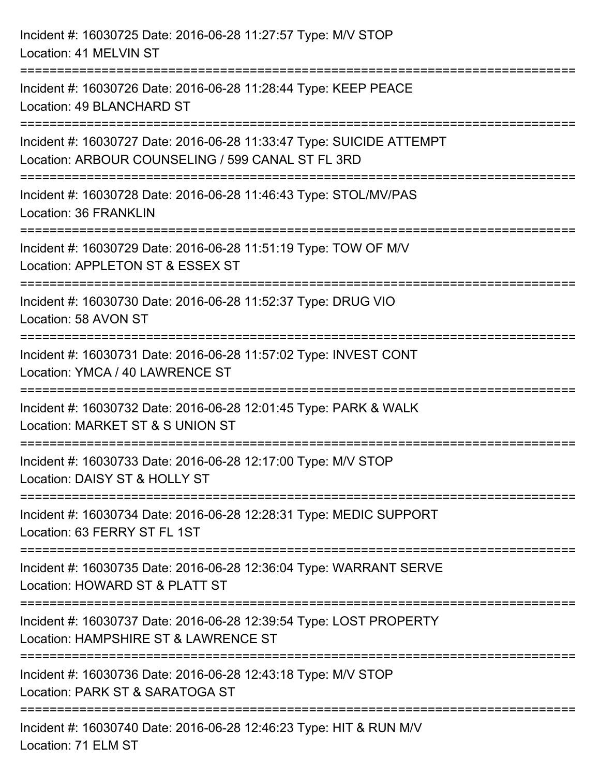| Incident #: 16030725 Date: 2016-06-28 11:27:57 Type: M/V STOP<br>Location: 41 MELVIN ST                                   |
|---------------------------------------------------------------------------------------------------------------------------|
| Incident #: 16030726 Date: 2016-06-28 11:28:44 Type: KEEP PEACE<br>Location: 49 BLANCHARD ST                              |
| Incident #: 16030727 Date: 2016-06-28 11:33:47 Type: SUICIDE ATTEMPT<br>Location: ARBOUR COUNSELING / 599 CANAL ST FL 3RD |
| Incident #: 16030728 Date: 2016-06-28 11:46:43 Type: STOL/MV/PAS<br>Location: 36 FRANKLIN<br>----------------             |
| Incident #: 16030729 Date: 2016-06-28 11:51:19 Type: TOW OF M/V<br>Location: APPLETON ST & ESSEX ST                       |
| Incident #: 16030730 Date: 2016-06-28 11:52:37 Type: DRUG VIO<br>Location: 58 AVON ST                                     |
| Incident #: 16030731 Date: 2016-06-28 11:57:02 Type: INVEST CONT<br>Location: YMCA / 40 LAWRENCE ST                       |
| Incident #: 16030732 Date: 2016-06-28 12:01:45 Type: PARK & WALK<br>Location: MARKET ST & S UNION ST                      |
| Incident #: 16030733 Date: 2016-06-28 12:17:00 Type: M/V STOP<br>Location: DAISY ST & HOLLY ST                            |
| Incident #: 16030734 Date: 2016-06-28 12:28:31 Type: MEDIC SUPPORT<br>Location: 63 FERRY ST FL 1ST                        |
| Incident #: 16030735 Date: 2016-06-28 12:36:04 Type: WARRANT SERVE<br>Location: HOWARD ST & PLATT ST                      |
| Incident #: 16030737 Date: 2016-06-28 12:39:54 Type: LOST PROPERTY<br>Location: HAMPSHIRE ST & LAWRENCE ST                |
| Incident #: 16030736 Date: 2016-06-28 12:43:18 Type: M/V STOP<br>Location: PARK ST & SARATOGA ST                          |
| Incident #: 16030740 Date: 2016-06-28 12:46:23 Type: HIT & RUN M/V<br>Location: 71 ELM ST                                 |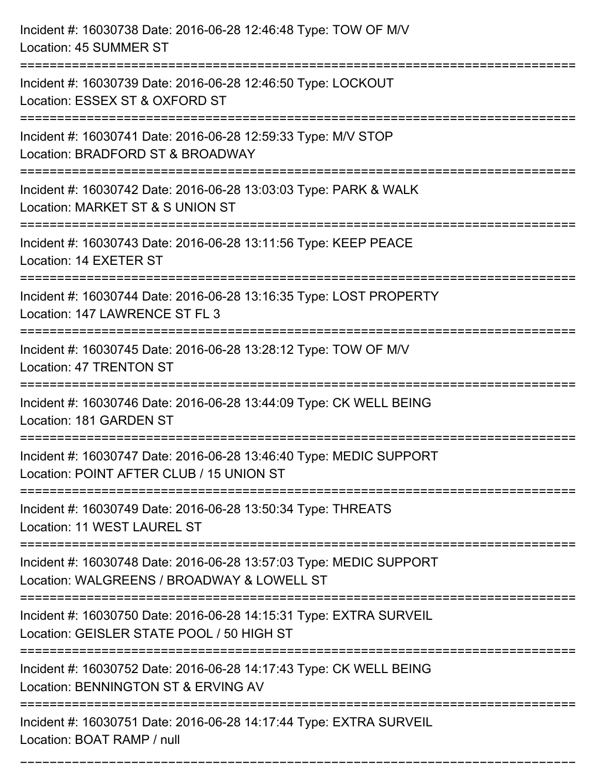| Incident #: 16030738 Date: 2016-06-28 12:46:48 Type: TOW OF M/V<br>Location: 45 SUMMER ST                        |
|------------------------------------------------------------------------------------------------------------------|
| Incident #: 16030739 Date: 2016-06-28 12:46:50 Type: LOCKOUT<br>Location: ESSEX ST & OXFORD ST                   |
| Incident #: 16030741 Date: 2016-06-28 12:59:33 Type: M/V STOP<br>Location: BRADFORD ST & BROADWAY                |
| Incident #: 16030742 Date: 2016-06-28 13:03:03 Type: PARK & WALK<br>Location: MARKET ST & S UNION ST             |
| Incident #: 16030743 Date: 2016-06-28 13:11:56 Type: KEEP PEACE<br>Location: 14 EXETER ST                        |
| Incident #: 16030744 Date: 2016-06-28 13:16:35 Type: LOST PROPERTY<br>Location: 147 LAWRENCE ST FL 3             |
| Incident #: 16030745 Date: 2016-06-28 13:28:12 Type: TOW OF M/V<br><b>Location: 47 TRENTON ST</b>                |
| Incident #: 16030746 Date: 2016-06-28 13:44:09 Type: CK WELL BEING<br>Location: 181 GARDEN ST                    |
| Incident #: 16030747 Date: 2016-06-28 13:46:40 Type: MEDIC SUPPORT<br>Location: POINT AFTER CLUB / 15 UNION ST   |
| Incident #: 16030749 Date: 2016-06-28 13:50:34 Type: THREATS<br>Location: 11 WEST LAUREL ST                      |
| Incident #: 16030748 Date: 2016-06-28 13:57:03 Type: MEDIC SUPPORT<br>Location: WALGREENS / BROADWAY & LOWELL ST |
| Incident #: 16030750 Date: 2016-06-28 14:15:31 Type: EXTRA SURVEIL<br>Location: GEISLER STATE POOL / 50 HIGH ST  |
| Incident #: 16030752 Date: 2016-06-28 14:17:43 Type: CK WELL BEING<br>Location: BENNINGTON ST & ERVING AV        |
| Incident #: 16030751 Date: 2016-06-28 14:17:44 Type: EXTRA SURVEIL<br>Location: BOAT RAMP / null                 |

===========================================================================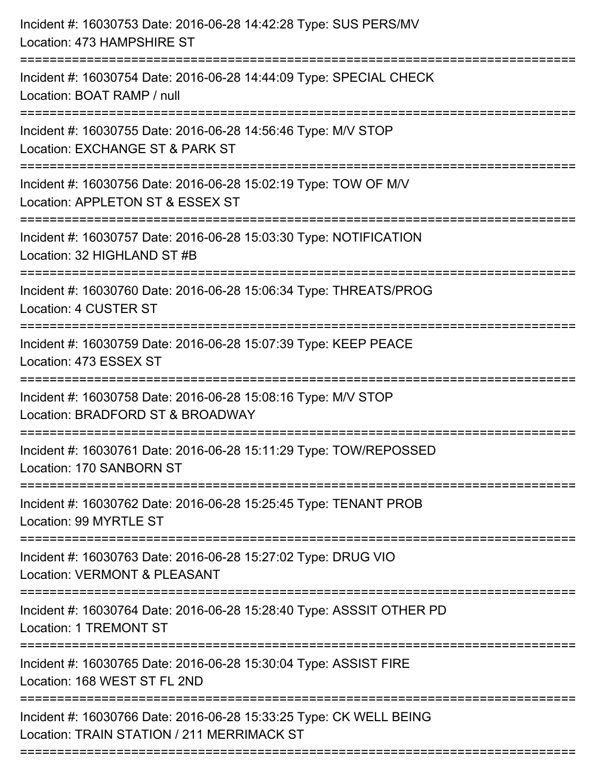| Incident #: 16030753 Date: 2016-06-28 14:42:28 Type: SUS PERS/MV<br>Location: 473 HAMPSHIRE ST                                     |
|------------------------------------------------------------------------------------------------------------------------------------|
| Incident #: 16030754 Date: 2016-06-28 14:44:09 Type: SPECIAL CHECK<br>Location: BOAT RAMP / null                                   |
| Incident #: 16030755 Date: 2016-06-28 14:56:46 Type: M/V STOP<br>Location: EXCHANGE ST & PARK ST                                   |
| Incident #: 16030756 Date: 2016-06-28 15:02:19 Type: TOW OF M/V<br>Location: APPLETON ST & ESSEX ST                                |
| Incident #: 16030757 Date: 2016-06-28 15:03:30 Type: NOTIFICATION<br>Location: 32 HIGHLAND ST #B<br>============================== |
| Incident #: 16030760 Date: 2016-06-28 15:06:34 Type: THREATS/PROG<br>Location: 4 CUSTER ST                                         |
| Incident #: 16030759 Date: 2016-06-28 15:07:39 Type: KEEP PEACE<br>Location: 473 ESSEX ST<br>===========================           |
| Incident #: 16030758 Date: 2016-06-28 15:08:16 Type: M/V STOP<br>Location: BRADFORD ST & BROADWAY                                  |
| Incident #: 16030761 Date: 2016-06-28 15:11:29 Type: TOW/REPOSSED<br>Location: 170 SANBORN ST                                      |
| ==================<br>Incident #: 16030762 Date: 2016-06-28 15:25:45 Type: TENANT PROB<br>Location: 99 MYRTLE ST                   |
| Incident #: 16030763 Date: 2016-06-28 15:27:02 Type: DRUG VIO<br>Location: VERMONT & PLEASANT                                      |
| Incident #: 16030764 Date: 2016-06-28 15:28:40 Type: ASSSIT OTHER PD<br><b>Location: 1 TREMONT ST</b>                              |
| Incident #: 16030765 Date: 2016-06-28 15:30:04 Type: ASSIST FIRE<br>Location: 168 WEST ST FL 2ND                                   |
| Incident #: 16030766 Date: 2016-06-28 15:33:25 Type: CK WELL BEING<br>Location: TRAIN STATION / 211 MERRIMACK ST                   |
|                                                                                                                                    |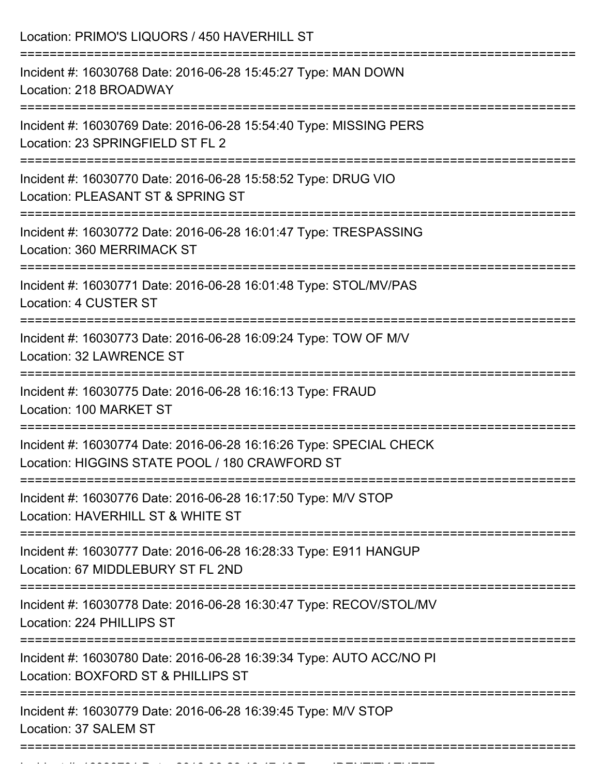| Location: PRIMO'S LIQUORS / 450 HAVERHILL ST                                                                                            |
|-----------------------------------------------------------------------------------------------------------------------------------------|
| Incident #: 16030768 Date: 2016-06-28 15:45:27 Type: MAN DOWN<br>Location: 218 BROADWAY<br>=================================            |
| Incident #: 16030769 Date: 2016-06-28 15:54:40 Type: MISSING PERS<br>Location: 23 SPRINGFIELD ST FL 2                                   |
| Incident #: 16030770 Date: 2016-06-28 15:58:52 Type: DRUG VIO<br>Location: PLEASANT ST & SPRING ST<br>--------------------------------- |
| Incident #: 16030772 Date: 2016-06-28 16:01:47 Type: TRESPASSING<br>Location: 360 MERRIMACK ST                                          |
| Incident #: 16030771 Date: 2016-06-28 16:01:48 Type: STOL/MV/PAS<br>Location: 4 CUSTER ST<br>:=================================         |
| Incident #: 16030773 Date: 2016-06-28 16:09:24 Type: TOW OF M/V<br>Location: 32 LAWRENCE ST                                             |
| Incident #: 16030775 Date: 2016-06-28 16:16:13 Type: FRAUD<br>Location: 100 MARKET ST                                                   |
| Incident #: 16030774 Date: 2016-06-28 16:16:26 Type: SPECIAL CHECK<br>Location: HIGGINS STATE POOL / 180 CRAWFORD ST                    |
| Incident #: 16030776 Date: 2016-06-28 16:17:50 Type: M/V STOP<br>Location: HAVERHILL ST & WHITE ST                                      |
| Incident #: 16030777 Date: 2016-06-28 16:28:33 Type: E911 HANGUP<br>Location: 67 MIDDLEBURY ST FL 2ND                                   |
| Incident #: 16030778 Date: 2016-06-28 16:30:47 Type: RECOV/STOL/MV<br>Location: 224 PHILLIPS ST                                         |
| Incident #: 16030780 Date: 2016-06-28 16:39:34 Type: AUTO ACC/NO PI<br>Location: BOXFORD ST & PHILLIPS ST                               |
| Incident #: 16030779 Date: 2016-06-28 16:39:45 Type: M/V STOP<br>Location: 37 SALEM ST                                                  |
|                                                                                                                                         |

Incident #: 16030781 Date: 2016 06 28 16:47:13 Type: IDENTITY THEFT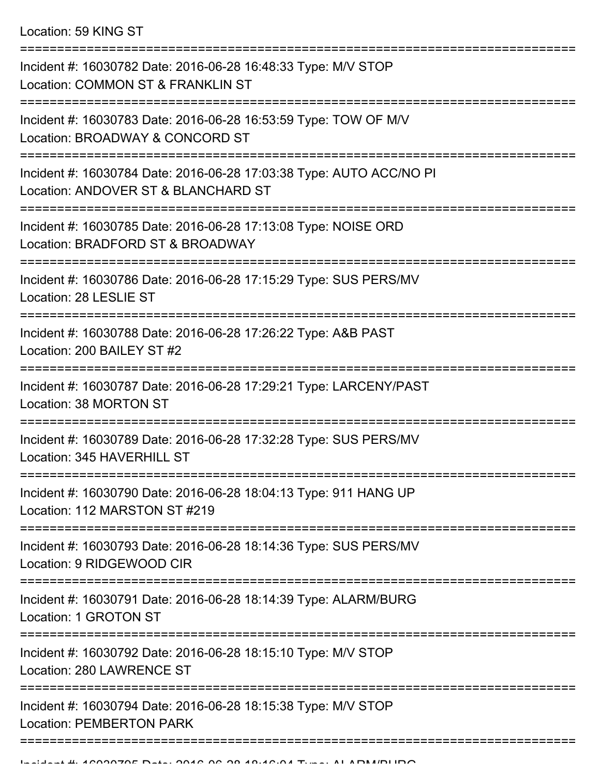| Incident #: 16030782 Date: 2016-06-28 16:48:33 Type: M/V STOP<br>Location: COMMON ST & FRANKLIN ST         |
|------------------------------------------------------------------------------------------------------------|
| Incident #: 16030783 Date: 2016-06-28 16:53:59 Type: TOW OF M/V<br>Location: BROADWAY & CONCORD ST         |
| Incident #: 16030784 Date: 2016-06-28 17:03:38 Type: AUTO ACC/NO PI<br>Location: ANDOVER ST & BLANCHARD ST |
| Incident #: 16030785 Date: 2016-06-28 17:13:08 Type: NOISE ORD<br>Location: BRADFORD ST & BROADWAY         |
| Incident #: 16030786 Date: 2016-06-28 17:15:29 Type: SUS PERS/MV<br>Location: 28 LESLIE ST                 |
| Incident #: 16030788 Date: 2016-06-28 17:26:22 Type: A&B PAST<br>Location: 200 BAILEY ST #2                |
| Incident #: 16030787 Date: 2016-06-28 17:29:21 Type: LARCENY/PAST<br>Location: 38 MORTON ST                |
| Incident #: 16030789 Date: 2016-06-28 17:32:28 Type: SUS PERS/MV<br>Location: 345 HAVERHILL ST             |
| Incident #: 16030790 Date: 2016-06-28 18:04:13 Type: 911 HANG UP<br>Location: 112 MARSTON ST #219          |
| Incident #: 16030793 Date: 2016-06-28 18:14:36 Type: SUS PERS/MV<br>Location: 9 RIDGEWOOD CIR              |
| Incident #: 16030791 Date: 2016-06-28 18:14:39 Type: ALARM/BURG<br>Location: 1 GROTON ST                   |
| Incident #: 16030792 Date: 2016-06-28 18:15:10 Type: M/V STOP<br>Location: 280 LAWRENCE ST                 |
| Incident #: 16030794 Date: 2016-06-28 18:15:38 Type: M/V STOP<br><b>Location: PEMBERTON PARK</b>           |
|                                                                                                            |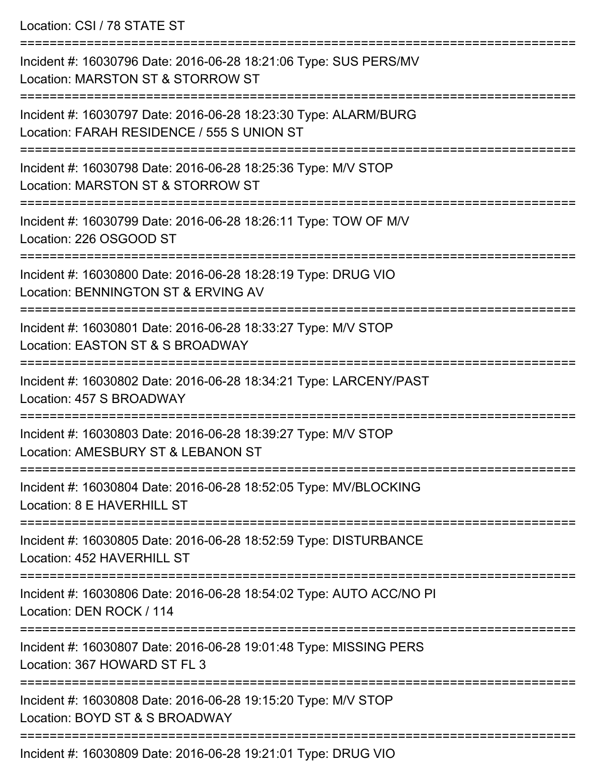Location: CSI / 78 STATE ST

| Incident #: 16030796 Date: 2016-06-28 18:21:06 Type: SUS PERS/MV<br>Location: MARSTON ST & STORROW ST         |
|---------------------------------------------------------------------------------------------------------------|
| Incident #: 16030797 Date: 2016-06-28 18:23:30 Type: ALARM/BURG<br>Location: FARAH RESIDENCE / 555 S UNION ST |
| Incident #: 16030798 Date: 2016-06-28 18:25:36 Type: M/V STOP<br>Location: MARSTON ST & STORROW ST            |
| Incident #: 16030799 Date: 2016-06-28 18:26:11 Type: TOW OF M/V<br>Location: 226 OSGOOD ST                    |
| Incident #: 16030800 Date: 2016-06-28 18:28:19 Type: DRUG VIO<br>Location: BENNINGTON ST & ERVING AV          |
| Incident #: 16030801 Date: 2016-06-28 18:33:27 Type: M/V STOP<br>Location: EASTON ST & S BROADWAY             |
| Incident #: 16030802 Date: 2016-06-28 18:34:21 Type: LARCENY/PAST<br>Location: 457 S BROADWAY                 |
| Incident #: 16030803 Date: 2016-06-28 18:39:27 Type: M/V STOP<br>Location: AMESBURY ST & LEBANON ST           |
| Incident #: 16030804 Date: 2016-06-28 18:52:05 Type: MV/BLOCKING<br>Location: 8 E HAVERHILL ST                |
| Incident #: 16030805 Date: 2016-06-28 18:52:59 Type: DISTURBANCE<br>Location: 452 HAVERHILL ST                |
| Incident #: 16030806 Date: 2016-06-28 18:54:02 Type: AUTO ACC/NO PI<br>Location: DEN ROCK / 114               |
| Incident #: 16030807 Date: 2016-06-28 19:01:48 Type: MISSING PERS<br>Location: 367 HOWARD ST FL 3             |
| Incident #: 16030808 Date: 2016-06-28 19:15:20 Type: M/V STOP<br>Location: BOYD ST & S BROADWAY               |
|                                                                                                               |

Incident #: 16030809 Date: 2016-06-28 19:21:01 Type: DRUG VIO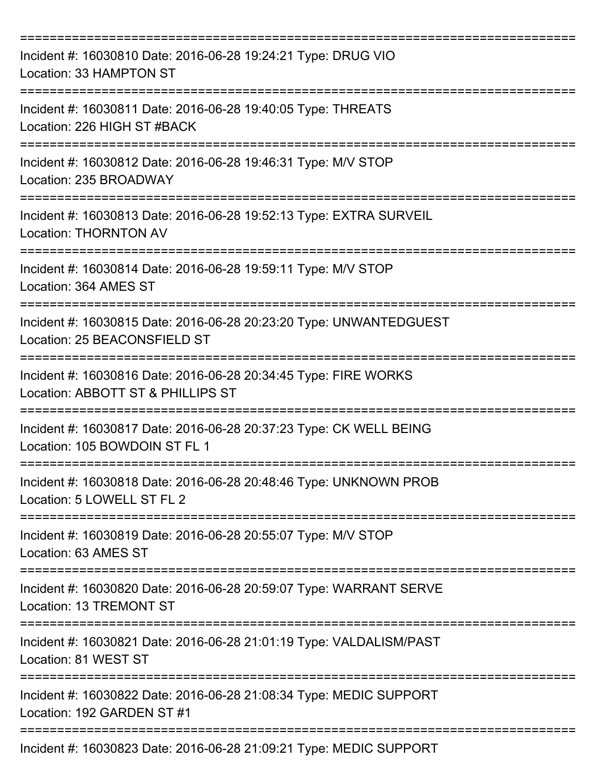| Incident #: 16030810 Date: 2016-06-28 19:24:21 Type: DRUG VIO<br>Location: 33 HAMPTON ST             |
|------------------------------------------------------------------------------------------------------|
| Incident #: 16030811 Date: 2016-06-28 19:40:05 Type: THREATS<br>Location: 226 HIGH ST #BACK          |
| Incident #: 16030812 Date: 2016-06-28 19:46:31 Type: M/V STOP<br>Location: 235 BROADWAY              |
| Incident #: 16030813 Date: 2016-06-28 19:52:13 Type: EXTRA SURVEIL<br><b>Location: THORNTON AV</b>   |
| Incident #: 16030814 Date: 2016-06-28 19:59:11 Type: M/V STOP<br>Location: 364 AMES ST               |
| Incident #: 16030815 Date: 2016-06-28 20:23:20 Type: UNWANTEDGUEST<br>Location: 25 BEACONSFIELD ST   |
| Incident #: 16030816 Date: 2016-06-28 20:34:45 Type: FIRE WORKS<br>Location: ABBOTT ST & PHILLIPS ST |
| Incident #: 16030817 Date: 2016-06-28 20:37:23 Type: CK WELL BEING<br>Location: 105 BOWDOIN ST FL 1  |
| Incident #: 16030818 Date: 2016-06-28 20:48:46 Type: UNKNOWN PROB<br>Location: 5 LOWELL ST FL 2      |
| Incident #: 16030819 Date: 2016-06-28 20:55:07 Type: M/V STOP<br>Location: 63 AMES ST                |
| Incident #: 16030820 Date: 2016-06-28 20:59:07 Type: WARRANT SERVE<br>Location: 13 TREMONT ST        |
| Incident #: 16030821 Date: 2016-06-28 21:01:19 Type: VALDALISM/PAST<br>Location: 81 WEST ST          |
| Incident #: 16030822 Date: 2016-06-28 21:08:34 Type: MEDIC SUPPORT<br>Location: 192 GARDEN ST #1     |
| Incident #: 16030823 Date: 2016-06-28 21:09:21 Type: MEDIC SUPPORT                                   |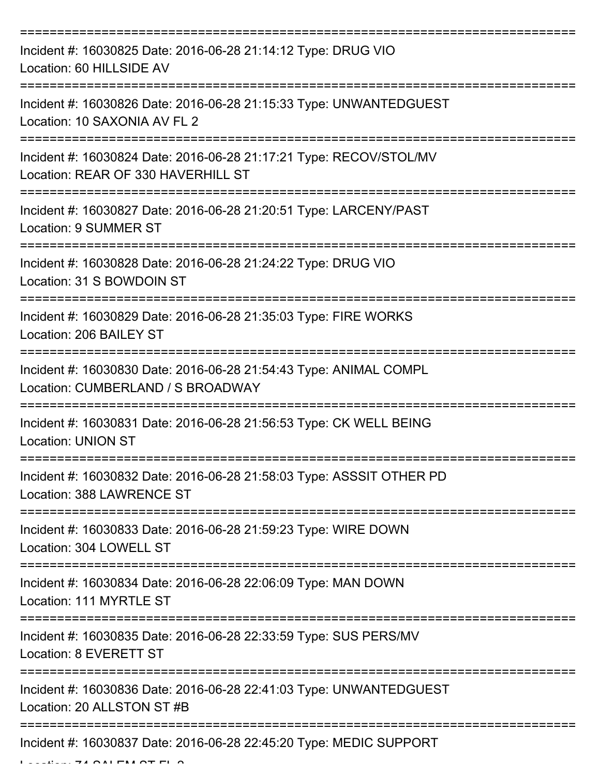| Incident #: 16030825 Date: 2016-06-28 21:14:12 Type: DRUG VIO<br>Location: 60 HILLSIDE AV                |
|----------------------------------------------------------------------------------------------------------|
| Incident #: 16030826 Date: 2016-06-28 21:15:33 Type: UNWANTEDGUEST<br>Location: 10 SAXONIA AV FL 2       |
| Incident #: 16030824 Date: 2016-06-28 21:17:21 Type: RECOV/STOL/MV<br>Location: REAR OF 330 HAVERHILL ST |
| Incident #: 16030827 Date: 2016-06-28 21:20:51 Type: LARCENY/PAST<br>Location: 9 SUMMER ST               |
| Incident #: 16030828 Date: 2016-06-28 21:24:22 Type: DRUG VIO<br>Location: 31 S BOWDOIN ST               |
| Incident #: 16030829 Date: 2016-06-28 21:35:03 Type: FIRE WORKS<br>Location: 206 BAILEY ST               |
| Incident #: 16030830 Date: 2016-06-28 21:54:43 Type: ANIMAL COMPL<br>Location: CUMBERLAND / S BROADWAY   |
| Incident #: 16030831 Date: 2016-06-28 21:56:53 Type: CK WELL BEING<br><b>Location: UNION ST</b>          |
| Incident #: 16030832 Date: 2016-06-28 21:58:03 Type: ASSSIT OTHER PD<br>Location: 388 LAWRENCE ST        |
| Incident #: 16030833 Date: 2016-06-28 21:59:23 Type: WIRE DOWN<br>Location: 304 LOWELL ST                |
| Incident #: 16030834 Date: 2016-06-28 22:06:09 Type: MAN DOWN<br>Location: 111 MYRTLE ST                 |
| Incident #: 16030835 Date: 2016-06-28 22:33:59 Type: SUS PERS/MV<br>Location: 8 EVERETT ST               |
| Incident #: 16030836 Date: 2016-06-28 22:41:03 Type: UNWANTEDGUEST<br>Location: 20 ALLSTON ST #B         |
| Incident #: 16030837 Date: 2016-06-28 22:45:20 Type: MEDIC SUPPORT                                       |